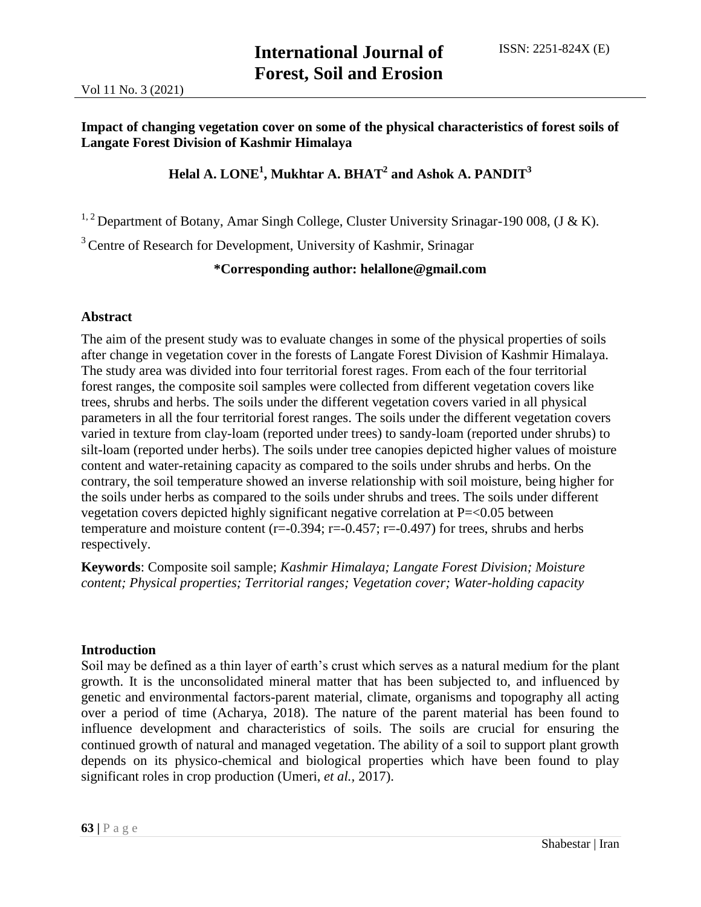## **Impact of changing vegetation cover on some of the physical characteristics of forest soils of Langate Forest Division of Kashmir Himalaya**

## **Helal A. LONE<sup>1</sup> , Mukhtar A. BHAT<sup>2</sup> and Ashok A. PANDIT<sup>3</sup>**

<sup>1, 2</sup> Department of Botany, Amar Singh College, Cluster University Srinagar-190 008, (J & K).

<sup>3</sup> Centre of Research for Development, University of Kashmir, Srinagar

## **\*Corresponding author: helallone@gmail.com**

## **Abstract**

The aim of the present study was to evaluate changes in some of the physical properties of soils after change in vegetation cover in the forests of Langate Forest Division of Kashmir Himalaya. The study area was divided into four territorial forest rages. From each of the four territorial forest ranges, the composite soil samples were collected from different vegetation covers like trees, shrubs and herbs. The soils under the different vegetation covers varied in all physical parameters in all the four territorial forest ranges. The soils under the different vegetation covers varied in texture from clay-loam (reported under trees) to sandy-loam (reported under shrubs) to silt-loam (reported under herbs). The soils under tree canopies depicted higher values of moisture content and water-retaining capacity as compared to the soils under shrubs and herbs. On the contrary, the soil temperature showed an inverse relationship with soil moisture, being higher for the soils under herbs as compared to the soils under shrubs and trees. The soils under different vegetation covers depicted highly significant negative correlation at P=<0.05 between temperature and moisture content ( $r=-0.394$ ;  $r=-0.457$ ;  $r=-0.497$ ) for trees, shrubs and herbs respectively.

**Keywords**: Composite soil sample; *Kashmir Himalaya; Langate Forest Division; Moisture content; Physical properties; Territorial ranges; Vegetation cover; Water-holding capacity*

### **Introduction**

Soil may be defined as a thin layer of earth's crust which serves as a natural medium for the plant growth. It is the unconsolidated mineral matter that has been subjected to, and influenced by genetic and environmental factors-parent material, climate, organisms and topography all acting over a period of time (Acharya, 2018). The nature of the parent material has been found to influence development and characteristics of soils. The soils are crucial for ensuring the continued growth of natural and managed vegetation. The ability of a soil to support plant growth depends on its physico-chemical and biological properties which have been found to play significant roles in crop production (Umeri, *et al.,* 2017).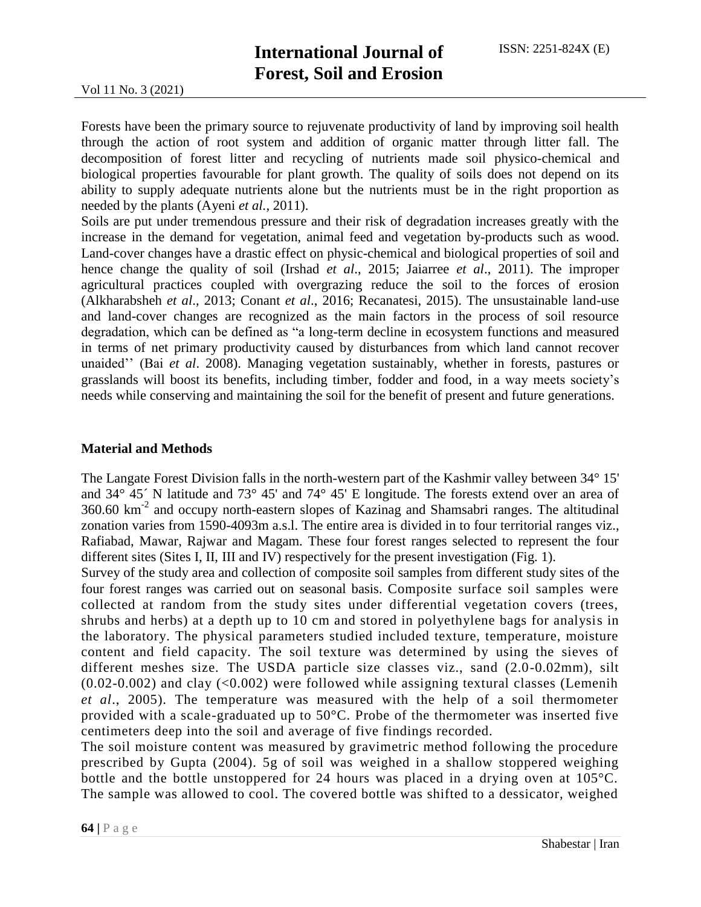Forests have been the primary source to rejuvenate productivity of land by improving soil health through the action of root system and addition of organic matter through litter fall. The decomposition of forest litter and recycling of nutrients made soil physico-chemical and biological properties favourable for plant growth. The quality of soils does not depend on its ability to supply adequate nutrients alone but the nutrients must be in the right proportion as needed by the plants (Ayeni *et al.,* 2011).

Soils are put under tremendous pressure and their risk of degradation increases greatly with the increase in the demand for vegetation, animal feed and vegetation by-products such as wood. Land-cover changes have a drastic effect on physic-chemical and biological properties of soil and hence change the quality of soil (Irshad *et al*., 2015; Jaiarree *et al*., 2011). The improper agricultural practices coupled with overgrazing reduce the soil to the forces of erosion (Alkharabsheh *et al*., 2013; Conant *et al*., 2016; Recanatesi, 2015). The unsustainable land-use and land-cover changes are recognized as the main factors in the process of soil resource degradation, which can be defined as "a long-term decline in ecosystem functions and measured in terms of net primary productivity caused by disturbances from which land cannot recover unaided'' (Bai *et al*. 2008). Managing vegetation sustainably, whether in forests, pastures or grasslands will boost its benefits, including timber, fodder and food, in a way meets society's needs while conserving and maintaining the soil for the benefit of present and future generations.

### **Material and Methods**

The Langate Forest Division falls in the north-western part of the Kashmir valley between 34° 15' and 34° 45´ N latitude and 73° 45' and 74° 45' E longitude. The forests extend over an area of  $360.60 \text{ km}^{-2}$  and occupy north-eastern slopes of Kazinag and Shamsabri ranges. The altitudinal zonation varies from 1590-4093m a.s.l. The entire area is divided in to four territorial ranges viz., Rafiabad, Mawar, Rajwar and Magam. These four forest ranges selected to represent the four different sites (Sites I, II, III and IV) respectively for the present investigation (Fig. 1).

Survey of the study area and collection of composite soil samples from different study sites of the four forest ranges was carried out on seasonal basis. Composite surface soil samples were collected at random from the study sites under differential vegetation covers (trees, shrubs and herbs) at a depth up to 10 cm and stored in polyethylene bags for analysis in the laboratory. The physical parameters studied included texture, temperature, moisture content and field capacity. The soil texture was determined by using the sieves of different meshes size. The USDA particle size classes viz., sand (2.0-0.02mm), silt  $(0.02-0.002)$  and clay  $( $0.002$ ) were followed while assigning textural classes (Lemenih$ *et al*., 2005). The temperature was measured with the help of a soil thermometer provided with a scale-graduated up to 50°C. Probe of the thermometer was inserted five centimeters deep into the soil and average of five findings recorded.

The soil moisture content was measured by gravimetric method following the procedure prescribed by Gupta (2004). 5g of soil was weighed in a shallow stoppered weighing bottle and the bottle unstoppered for 24 hours was placed in a drying oven at 105°C. The sample was allowed to cool. The covered bottle was shifted to a dessicator, weighed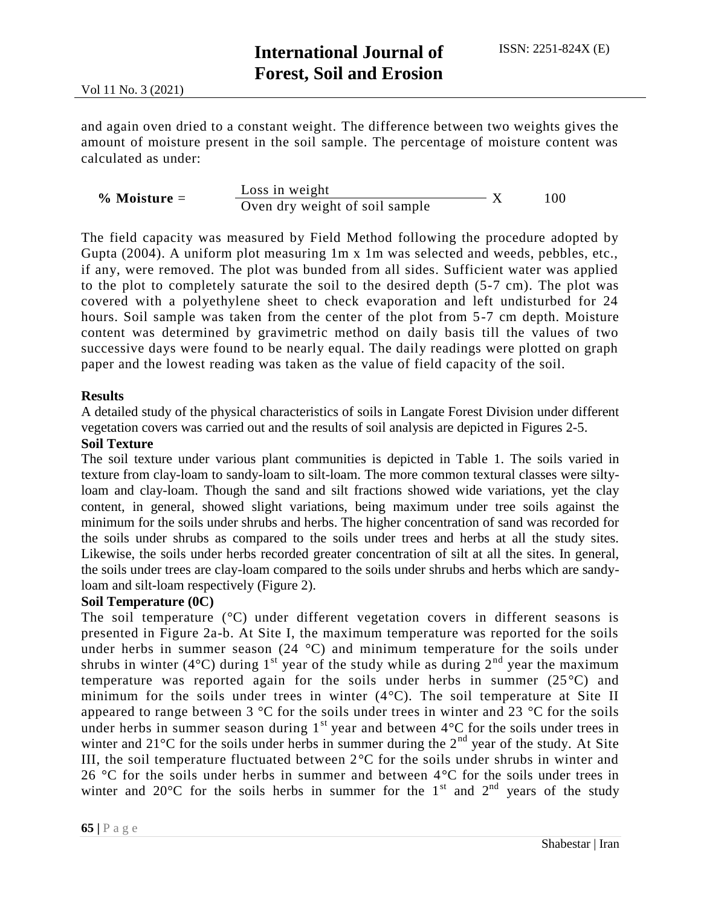and again oven dried to a constant weight. The difference between two weights gives the amount of moisture present in the soil sample. The percentage of moisture content was calculated as under:

| $\%$ Moisture $=$ | Loss in weight                 |  | 00 |
|-------------------|--------------------------------|--|----|
|                   | Oven dry weight of soil sample |  |    |

The field capacity was measured by Field Method following the procedure adopted by Gupta (2004). A uniform plot measuring 1m x 1m was selected and weeds, pebbles, etc., if any, were removed. The plot was bunded from all sides. Sufficient water was applied to the plot to completely saturate the soil to the desired depth (5-7 cm). The plot was covered with a polyethylene sheet to check evaporation and left undisturbed for 24 hours. Soil sample was taken from the center of the plot from 5-7 cm depth. Moisture content was determined by gravimetric method on daily basis till the values of two successive days were found to be nearly equal. The daily readings were plotted on graph paper and the lowest reading was taken as the value of field capacity of the soil.

## **Results**

A detailed study of the physical characteristics of soils in Langate Forest Division under different vegetation covers was carried out and the results of soil analysis are depicted in Figures 2-5.

## **Soil Texture**

The soil texture under various plant communities is depicted in Table 1. The soils varied in texture from clay-loam to sandy-loam to silt-loam. The more common textural classes were siltyloam and clay-loam. Though the sand and silt fractions showed wide variations, yet the clay content, in general, showed slight variations, being maximum under tree soils against the minimum for the soils under shrubs and herbs. The higher concentration of sand was recorded for the soils under shrubs as compared to the soils under trees and herbs at all the study sites. Likewise, the soils under herbs recorded greater concentration of silt at all the sites. In general, the soils under trees are clay-loam compared to the soils under shrubs and herbs which are sandyloam and silt-loam respectively (Figure 2).

## **Soil Temperature (0C)**

The soil temperature (°C) under different vegetation covers in different seasons is presented in Figure 2a-b. At Site I, the maximum temperature was reported for the soils under herbs in summer season  $(24 \text{ °C})$  and minimum temperature for the soils under shrubs in winter (4 $^{\circ}$ C) during 1<sup>st</sup> year of the study while as during 2<sup>nd</sup> year the maximum temperature was reported again for the soils under herbs in summer (25°C) and minimum for the soils under trees in winter (4°C). The soil temperature at Site II appeared to range between  $3 \text{ }^{\circ}\text{C}$  for the soils under trees in winter and 23  $\text{ }^{\circ}\text{C}$  for the soils under herbs in summer season during  $1<sup>st</sup>$  year and between  $4<sup>°</sup>C$  for the soils under trees in winter and  $21^{\circ}$ C for the soils under herbs in summer during the  $2^{\text{nd}}$  year of the study. At Site III, the soil temperature fluctuated between  $2^{\circ}$ C for the soils under shrubs in winter and 26 °C for the soils under herbs in summer and between  $4^{\circ}$ C for the soils under trees in winter and  $20^{\circ}$ C for the soils herbs in summer for the  $1^{st}$  and  $2^{nd}$  years of the study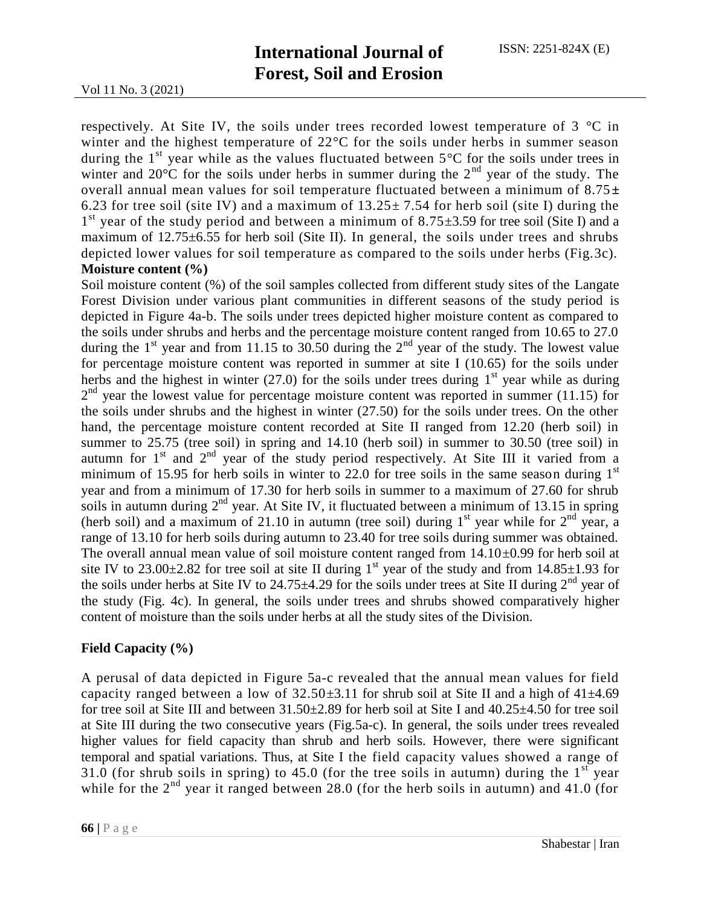respectively. At Site IV, the soils under trees recorded lowest temperature of 3 °C in winter and the highest temperature of 22°C for the soils under herbs in summer season during the  $1<sup>st</sup>$  year while as the values fluctuated between  $5<sup>o</sup>C$  for the soils under trees in winter and  $20^{\circ}$ C for the soils under herbs in summer during the  $2^{nd}$  year of the study. The overall annual mean values for soil temperature fluctuated between a minimum of 8.75**±** 6.23 for tree soil (site IV) and a maximum of  $13.25 \pm 7.54$  for herb soil (site I) during the  $1<sup>st</sup>$  year of the study period and between a minimum of 8.75 $\pm$ 3.59 for tree soil (Site I) and a maximum of 12.75±6.55 for herb soil (Site II). In general, the soils under trees and shrubs depicted lower values for soil temperature as compared to the soils under herbs (Fig.3c). **Moisture content (%)**

Soil moisture content (%) of the soil samples collected from different study sites of the Langate Forest Division under various plant communities in different seasons of the study period is depicted in Figure 4a-b. The soils under trees depicted higher moisture content as compared to the soils under shrubs and herbs and the percentage moisture content ranged from 10.65 to 27.0 during the 1<sup>st</sup> year and from 11.15 to 30.50 during the  $2<sup>nd</sup>$  year of the study. The lowest value for percentage moisture content was reported in summer at site I (10.65) for the soils under herbs and the highest in winter (27.0) for the soils under trees during  $1<sup>st</sup>$  year while as during  $2<sup>nd</sup>$  year the lowest value for percentage moisture content was reported in summer (11.15) for the soils under shrubs and the highest in winter (27.50) for the soils under trees. On the other hand, the percentage moisture content recorded at Site II ranged from 12.20 (herb soil) in summer to 25.75 (tree soil) in spring and 14.10 (herb soil) in summer to 30.50 (tree soil) in autumn for  $1<sup>st</sup>$  and  $2<sup>nd</sup>$  year of the study period respectively. At Site III it varied from a minimum of 15.95 for herb soils in winter to 22.0 for tree soils in the same season during  $1<sup>st</sup>$ year and from a minimum of 17.30 for herb soils in summer to a maximum of 27.60 for shrub soils in autumn during  $2^{nd}$  year. At Site IV, it fluctuated between a minimum of 13.15 in spring (herb soil) and a maximum of 21.10 in autumn (tree soil) during  $1<sup>st</sup>$  year while for  $2<sup>nd</sup>$  year, a range of 13.10 for herb soils during autumn to 23.40 for tree soils during summer was obtained. The overall annual mean value of soil moisture content ranged from  $14.10\pm0.99$  for herb soil at site IV to 23.00 $\pm$ 2.82 for tree soil at site II during 1<sup>st</sup> year of the study and from 14.85 $\pm$ 1.93 for the soils under herbs at Site IV to 24.75 $\pm$ 4.29 for the soils under trees at Site II during  $2<sup>nd</sup>$  year of the study (Fig. 4c). In general, the soils under trees and shrubs showed comparatively higher content of moisture than the soils under herbs at all the study sites of the Division.

### **Field Capacity (%)**

A perusal of data depicted in Figure 5a-c revealed that the annual mean values for field capacity ranged between a low of  $32.50\pm3.11$  for shrub soil at Site II and a high of  $41\pm4.69$ for tree soil at Site III and between  $31.50\pm2.89$  for herb soil at Site I and  $40.25\pm4.50$  for tree soil at Site III during the two consecutive years (Fig.5a-c). In general, the soils under trees revealed higher values for field capacity than shrub and herb soils. However, there were significant temporal and spatial variations. Thus, at Site I the field capacity values showed a range of 31.0 (for shrub soils in spring) to 45.0 (for the tree soils in autumn) during the  $1<sup>st</sup>$  year while for the  $2<sup>nd</sup>$  year it ranged between 28.0 (for the herb soils in autumn) and 41.0 (for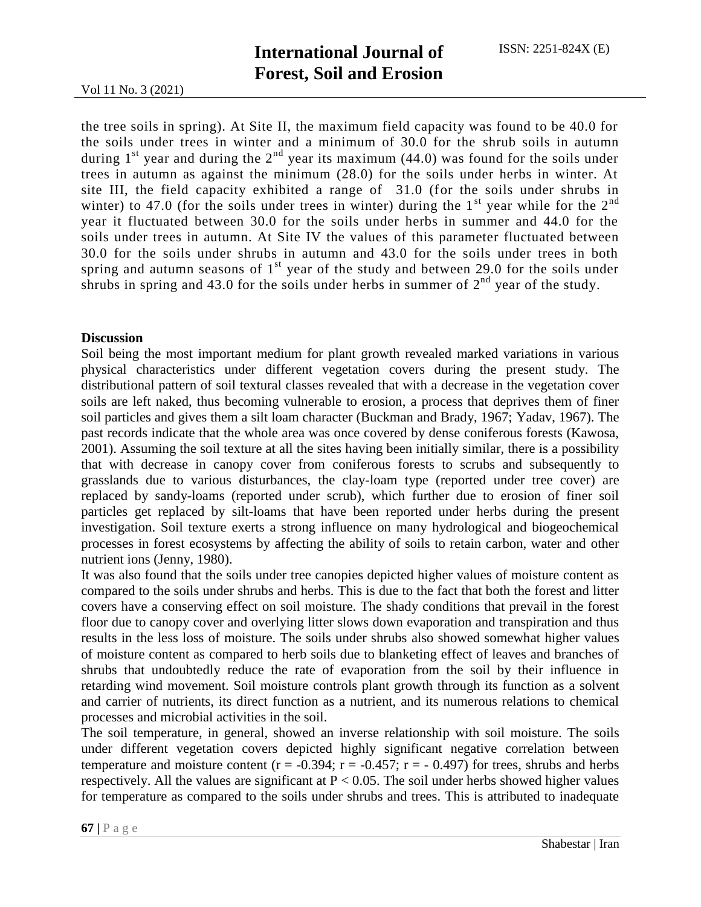the tree soils in spring). At Site II, the maximum field capacity was found to be 40.0 for the soils under trees in winter and a minimum of 30.0 for the shrub soils in autumn during  $1<sup>st</sup>$  year and during the  $2<sup>nd</sup>$  year its maximum (44.0) was found for the soils under trees in autumn as against the minimum (28.0) for the soils under herbs in winter. At site III, the field capacity exhibited a range of 31.0 (for the soils under shrubs in winter) to 47.0 (for the soils under trees in winter) during the  $1<sup>st</sup>$  year while for the  $2<sup>nd</sup>$ year it fluctuated between 30.0 for the soils under herbs in summer and 44.0 for the soils under trees in autumn. At Site IV the values of this parameter fluctuated between 30.0 for the soils under shrubs in autumn and 43.0 for the soils under trees in both spring and autumn seasons of  $1<sup>st</sup>$  year of the study and between 29.0 for the soils under shrubs in spring and 43.0 for the soils under herbs in summer of  $2<sup>nd</sup>$  year of the study.

#### **Discussion**

Soil being the most important medium for plant growth revealed marked variations in various physical characteristics under different vegetation covers during the present study. The distributional pattern of soil textural classes revealed that with a decrease in the vegetation cover soils are left naked, thus becoming vulnerable to erosion, a process that deprives them of finer soil particles and gives them a silt loam character (Buckman and Brady, 1967; Yadav, 1967). The past records indicate that the whole area was once covered by dense coniferous forests (Kawosa, 2001). Assuming the soil texture at all the sites having been initially similar, there is a possibility that with decrease in canopy cover from coniferous forests to scrubs and subsequently to grasslands due to various disturbances, the clay-loam type (reported under tree cover) are replaced by sandy-loams (reported under scrub), which further due to erosion of finer soil particles get replaced by silt-loams that have been reported under herbs during the present investigation. Soil texture exerts a strong influence on many hydrological and biogeochemical processes in forest ecosystems by affecting the ability of soils to retain carbon, water and other nutrient ions (Jenny, 1980).

It was also found that the soils under tree canopies depicted higher values of moisture content as compared to the soils under shrubs and herbs. This is due to the fact that both the forest and litter covers have a conserving effect on soil moisture. The shady conditions that prevail in the forest floor due to canopy cover and overlying litter slows down evaporation and transpiration and thus results in the less loss of moisture. The soils under shrubs also showed somewhat higher values of moisture content as compared to herb soils due to blanketing effect of leaves and branches of shrubs that undoubtedly reduce the rate of evaporation from the soil by their influence in retarding wind movement. Soil moisture controls plant growth through its function as a solvent and carrier of nutrients, its direct function as a nutrient, and its numerous relations to chemical processes and microbial activities in the soil.

The soil temperature, in general, showed an inverse relationship with soil moisture. The soils under different vegetation covers depicted highly significant negative correlation between temperature and moisture content ( $r = -0.394$ ;  $r = -0.457$ ;  $r = -0.497$ ) for trees, shrubs and herbs respectively. All the values are significant at  $P < 0.05$ . The soil under herbs showed higher values for temperature as compared to the soils under shrubs and trees. This is attributed to inadequate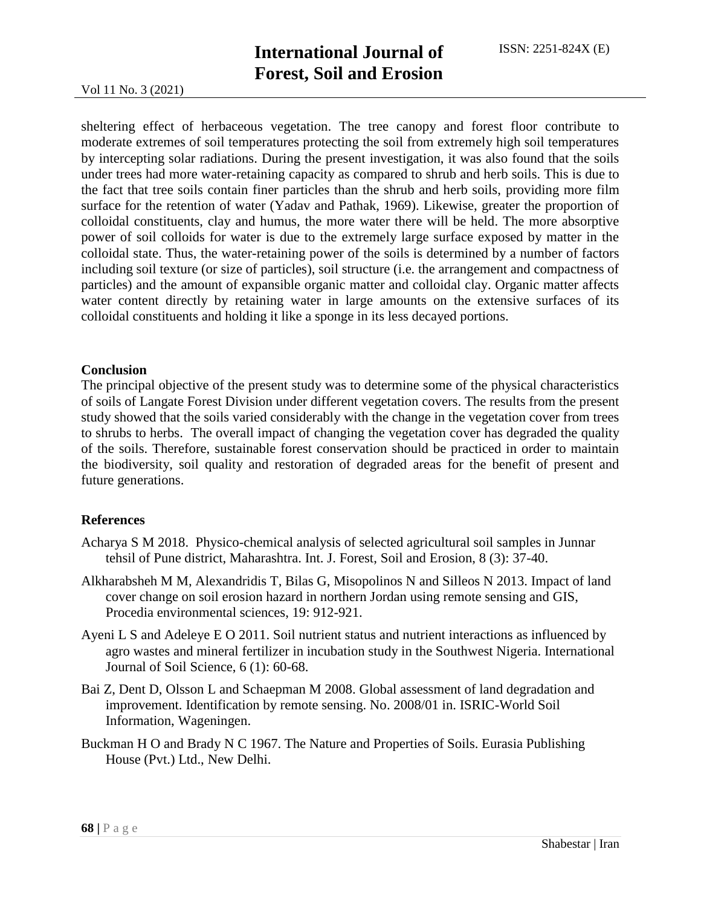Vol 11 No. 3 (2021)

sheltering effect of herbaceous vegetation. The tree canopy and forest floor contribute to moderate extremes of soil temperatures protecting the soil from extremely high soil temperatures by intercepting solar radiations. During the present investigation, it was also found that the soils under trees had more water-retaining capacity as compared to shrub and herb soils. This is due to the fact that tree soils contain finer particles than the shrub and herb soils, providing more film surface for the retention of water (Yadav and Pathak, 1969). Likewise, greater the proportion of colloidal constituents, clay and humus, the more water there will be held. The more absorptive power of soil colloids for water is due to the extremely large surface exposed by matter in the colloidal state. Thus, the water-retaining power of the soils is determined by a number of factors including soil texture (or size of particles), soil structure (i.e. the arrangement and compactness of particles) and the amount of expansible organic matter and colloidal clay. Organic matter affects water content directly by retaining water in large amounts on the extensive surfaces of its colloidal constituents and holding it like a sponge in its less decayed portions.

### **Conclusion**

The principal objective of the present study was to determine some of the physical characteristics of soils of Langate Forest Division under different vegetation covers. The results from the present study showed that the soils varied considerably with the change in the vegetation cover from trees to shrubs to herbs. The overall impact of changing the vegetation cover has degraded the quality of the soils. Therefore, sustainable forest conservation should be practiced in order to maintain the biodiversity, soil quality and restoration of degraded areas for the benefit of present and future generations.

### **References**

- Acharya S M 2018. Physico-chemical analysis of selected agricultural soil samples in Junnar tehsil of Pune district, Maharashtra. Int. J. Forest, Soil and Erosion, 8 (3): 37-40.
- Alkharabsheh M M, Alexandridis T, Bilas G, Misopolinos N and Silleos N 2013. Impact of land cover change on soil erosion hazard in northern Jordan using remote sensing and GIS, Procedia environmental sciences, 19: 912-921.
- Ayeni L S and Adeleye E O 2011. Soil nutrient status and nutrient interactions as influenced by agro wastes and mineral fertilizer in incubation study in the Southwest Nigeria. International Journal of Soil Science, 6 (1): 60-68.
- Bai Z, Dent D, Olsson L and Schaepman M 2008. Global assessment of land degradation and improvement. Identification by remote sensing. No. 2008/01 in. ISRIC-World Soil Information, Wageningen.
- Buckman H O and Brady N C 1967. The Nature and Properties of Soils. Eurasia Publishing House (Pvt.) Ltd., New Delhi.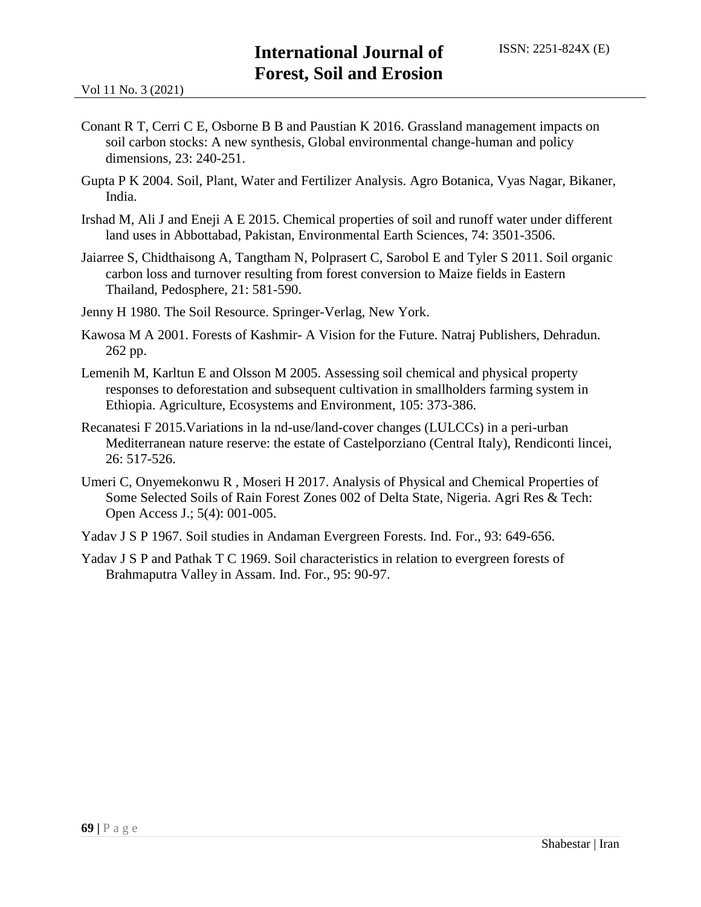- Conant R T, Cerri C E, Osborne B B and Paustian K 2016. Grassland management impacts on soil carbon stocks: A new synthesis, Global environmental change-human and policy dimensions, 23: 240-251.
- Gupta P K 2004. Soil, Plant, Water and Fertilizer Analysis. Agro Botanica, Vyas Nagar, Bikaner, India.
- Irshad M, Ali J and Eneji A E 2015. Chemical properties of soil and runoff water under different land uses in Abbottabad, Pakistan, Environmental Earth Sciences, 74: 3501-3506.
- Jaiarree S, Chidthaisong A, Tangtham N, Polprasert C, Sarobol E and Tyler S 2011. Soil organic carbon loss and turnover resulting from forest conversion to Maize fields in Eastern Thailand, Pedosphere, 21: 581-590.
- Jenny H 1980. The Soil Resource. Springer-Verlag, New York.
- Kawosa M A 2001. Forests of Kashmir- A Vision for the Future. Natraj Publishers, Dehradun. 262 pp.
- Lemenih M, Karltun E and Olsson M 2005. Assessing soil chemical and physical property responses to deforestation and subsequent cultivation in smallholders farming system in Ethiopia. Agriculture, Ecosystems and Environment, 105: 373-386.
- Recanatesi F 2015.Variations in la nd-use/land-cover changes (LULCCs) in a peri-urban Mediterranean nature reserve: the estate of Castelporziano (Central Italy), Rendiconti lincei, 26: 517-526.
- Umeri C, Onyemekonwu R , Moseri H 2017. Analysis of Physical and Chemical Properties of Some Selected Soils of Rain Forest Zones 002 of Delta State, Nigeria. Agri Res & Tech: Open Access J.; 5(4): 001-005.
- Yadav J S P 1967. Soil studies in Andaman Evergreen Forests. Ind. For., 93: 649-656.
- Yadav J S P and Pathak T C 1969. Soil characteristics in relation to evergreen forests of Brahmaputra Valley in Assam. Ind. For., 95: 90-97.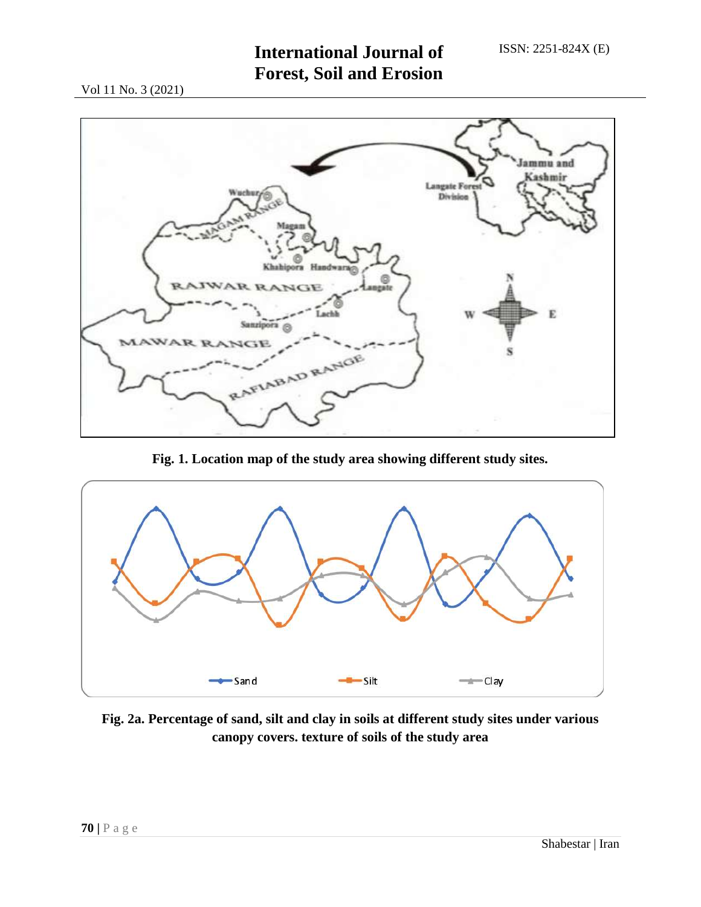# **International Journal of Forest, Soil and Erosion**

Vol 11 No. 3 (2021)



**Fig. 1. Location map of the study area showing different study sites.**



**Fig. 2a. Percentage of sand, silt and clay in soils at different study sites under various canopy covers. texture of soils of the study area**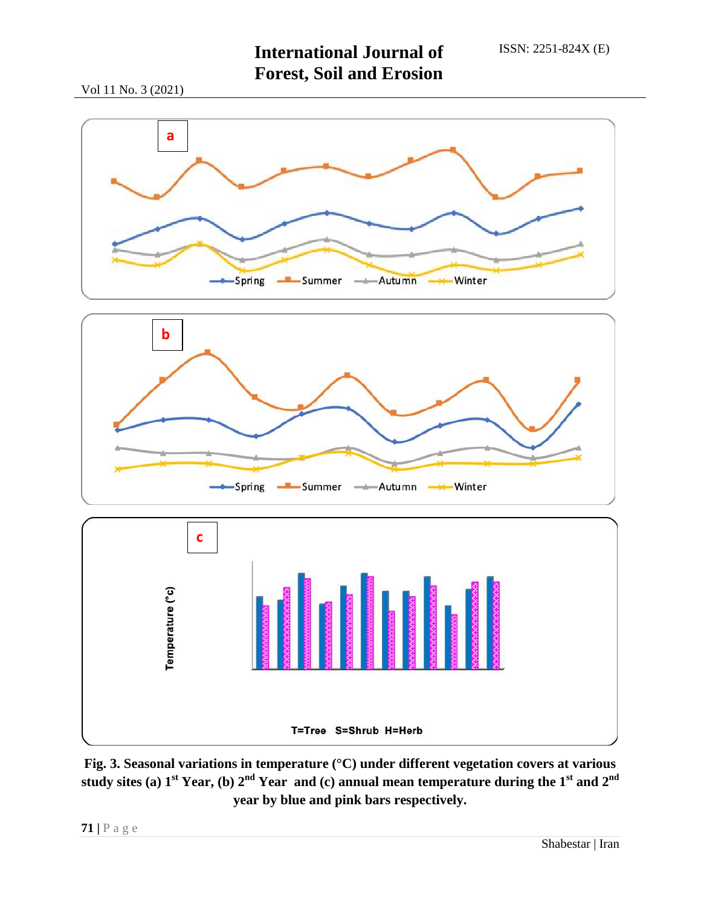Vol 11 No. 3 (2021)







**Fig. 3. Seasonal variations in temperature (°C) under different vegetation covers at various study sites (a) 1st Year, (b) 2nd Year and (c) annual mean temperature during the 1st and 2nd year by blue and pink bars respectively.**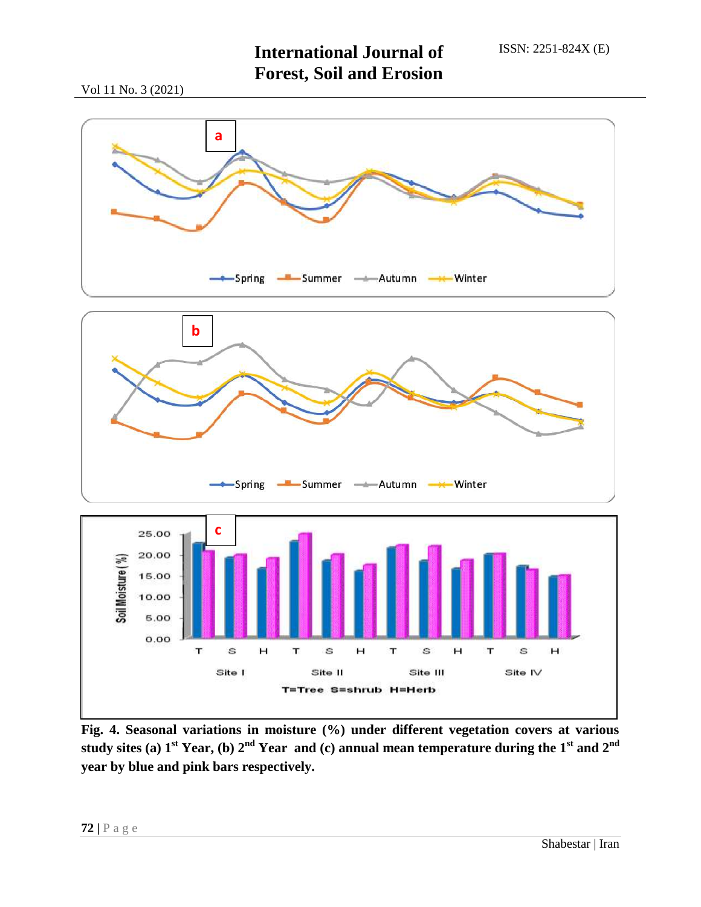## **International Journal of Forest, Soil and Erosion**

Vol 11 No. 3 (2021)



**Fig. 4. Seasonal variations in moisture (%) under different vegetation covers at various study sites (a) 1st Year, (b) 2nd Year and (c) annual mean temperature during the 1st and 2nd year by blue and pink bars respectively.**